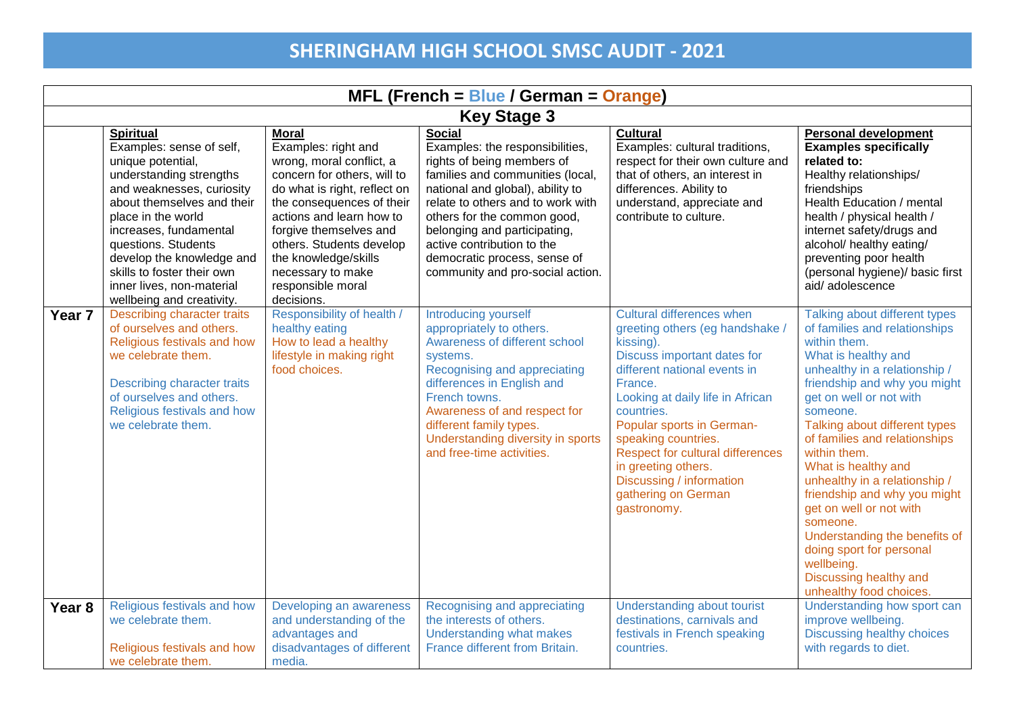| $MFL$ (French = Blue / German = Orange) |                                                                                                                                                                                                                                                                                                                                                     |                                                                                                                                                                                                                                                                                                                               |                                                                                                                                                                                                                                                                                                                                                              |                                                                                                                                                                                                                                                                                                                                                                                                      |                                                                                                                                                                                                                                                                                                                                                                                                                                                                                                                                                                |  |
|-----------------------------------------|-----------------------------------------------------------------------------------------------------------------------------------------------------------------------------------------------------------------------------------------------------------------------------------------------------------------------------------------------------|-------------------------------------------------------------------------------------------------------------------------------------------------------------------------------------------------------------------------------------------------------------------------------------------------------------------------------|--------------------------------------------------------------------------------------------------------------------------------------------------------------------------------------------------------------------------------------------------------------------------------------------------------------------------------------------------------------|------------------------------------------------------------------------------------------------------------------------------------------------------------------------------------------------------------------------------------------------------------------------------------------------------------------------------------------------------------------------------------------------------|----------------------------------------------------------------------------------------------------------------------------------------------------------------------------------------------------------------------------------------------------------------------------------------------------------------------------------------------------------------------------------------------------------------------------------------------------------------------------------------------------------------------------------------------------------------|--|
| <b>Key Stage 3</b>                      |                                                                                                                                                                                                                                                                                                                                                     |                                                                                                                                                                                                                                                                                                                               |                                                                                                                                                                                                                                                                                                                                                              |                                                                                                                                                                                                                                                                                                                                                                                                      |                                                                                                                                                                                                                                                                                                                                                                                                                                                                                                                                                                |  |
|                                         | <b>Spiritual</b><br>Examples: sense of self,<br>unique potential,<br>understanding strengths<br>and weaknesses, curiosity<br>about themselves and their<br>place in the world<br>increases, fundamental<br>questions. Students<br>develop the knowledge and<br>skills to foster their own<br>inner lives, non-material<br>wellbeing and creativity. | <b>Moral</b><br>Examples: right and<br>wrong, moral conflict, a<br>concern for others, will to<br>do what is right, reflect on<br>the consequences of their<br>actions and learn how to<br>forgive themselves and<br>others. Students develop<br>the knowledge/skills<br>necessary to make<br>responsible moral<br>decisions. | <b>Social</b><br>Examples: the responsibilities,<br>rights of being members of<br>families and communities (local,<br>national and global), ability to<br>relate to others and to work with<br>others for the common good,<br>belonging and participating,<br>active contribution to the<br>democratic process, sense of<br>community and pro-social action. | <b>Cultural</b><br>Examples: cultural traditions,<br>respect for their own culture and<br>that of others, an interest in<br>differences. Ability to<br>understand, appreciate and<br>contribute to culture.                                                                                                                                                                                          | <b>Personal development</b><br><b>Examples specifically</b><br>related to:<br>Healthy relationships/<br>friendships<br>Health Education / mental<br>health / physical health /<br>internet safety/drugs and<br>alcohol/ healthy eating/<br>preventing poor health<br>(personal hygiene)/ basic first<br>aid/adolescence                                                                                                                                                                                                                                        |  |
| Year <sub>7</sub>                       | <b>Describing character traits</b><br>of ourselves and others.<br>Religious festivals and how<br>we celebrate them.<br>Describing character traits<br>of ourselves and others.<br>Religious festivals and how<br>we celebrate them.                                                                                                                 | Responsibility of health /<br>healthy eating<br>How to lead a healthy<br>lifestyle in making right<br>food choices.                                                                                                                                                                                                           | Introducing yourself<br>appropriately to others.<br>Awareness of different school<br>systems.<br>Recognising and appreciating<br>differences in English and<br>French towns.<br>Awareness of and respect for<br>different family types.<br>Understanding diversity in sports<br>and free-time activities.                                                    | <b>Cultural differences when</b><br>greeting others (eg handshake /<br>kissing).<br>Discuss important dates for<br>different national events in<br>France.<br>Looking at daily life in African<br>countries.<br>Popular sports in German-<br>speaking countries.<br><b>Respect for cultural differences</b><br>in greeting others.<br>Discussing / information<br>gathering on German<br>gastronomy. | Talking about different types<br>of families and relationships<br>within them.<br>What is healthy and<br>unhealthy in a relationship /<br>friendship and why you might<br>get on well or not with<br>someone.<br>Talking about different types<br>of families and relationships<br>within them.<br>What is healthy and<br>unhealthy in a relationship /<br>friendship and why you might<br>get on well or not with<br>someone.<br>Understanding the benefits of<br>doing sport for personal<br>wellbeing.<br>Discussing healthy and<br>unhealthy food choices. |  |
| Year <sub>8</sub>                       | Religious festivals and how<br>we celebrate them.<br>Religious festivals and how<br>we celebrate them.                                                                                                                                                                                                                                              | Developing an awareness<br>and understanding of the<br>advantages and<br>disadvantages of different<br>media.                                                                                                                                                                                                                 | Recognising and appreciating<br>the interests of others.<br>Understanding what makes<br>France different from Britain.                                                                                                                                                                                                                                       | Understanding about tourist<br>destinations, carnivals and<br>festivals in French speaking<br>countries.                                                                                                                                                                                                                                                                                             | Understanding how sport can<br>improve wellbeing.<br><b>Discussing healthy choices</b><br>with regards to diet.                                                                                                                                                                                                                                                                                                                                                                                                                                                |  |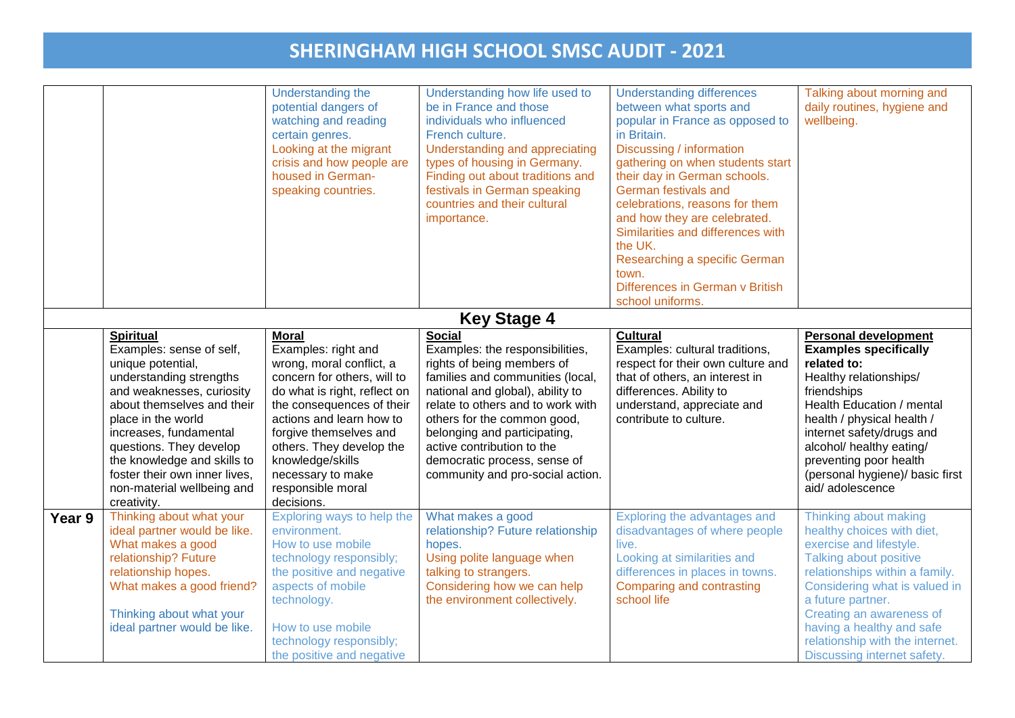|        |                                                                                                                                                                                                                                                                                                                                                 | Understanding the<br>potential dangers of<br>watching and reading<br>certain genres.<br>Looking at the migrant<br>crisis and how people are<br>housed in German-<br>speaking countries.                                                                                                                                   | Understanding how life used to<br>be in France and those<br>individuals who influenced<br>French culture.<br>Understanding and appreciating<br>types of housing in Germany.<br>Finding out about traditions and<br>festivals in German speaking<br>countries and their cultural<br>importance.                                                               | <b>Understanding differences</b><br>between what sports and<br>popular in France as opposed to<br>in Britain.<br>Discussing / information<br>gathering on when students start<br>their day in German schools.<br>German festivals and<br>celebrations, reasons for them<br>and how they are celebrated.<br>Similarities and differences with<br>the UK.<br>Researching a specific German<br>town.<br>Differences in German v British<br>school uniforms. | Talking about morning and<br>daily routines, hygiene and<br>wellbeing.                                                                                                                                                                                                                                                      |
|--------|-------------------------------------------------------------------------------------------------------------------------------------------------------------------------------------------------------------------------------------------------------------------------------------------------------------------------------------------------|---------------------------------------------------------------------------------------------------------------------------------------------------------------------------------------------------------------------------------------------------------------------------------------------------------------------------|--------------------------------------------------------------------------------------------------------------------------------------------------------------------------------------------------------------------------------------------------------------------------------------------------------------------------------------------------------------|----------------------------------------------------------------------------------------------------------------------------------------------------------------------------------------------------------------------------------------------------------------------------------------------------------------------------------------------------------------------------------------------------------------------------------------------------------|-----------------------------------------------------------------------------------------------------------------------------------------------------------------------------------------------------------------------------------------------------------------------------------------------------------------------------|
|        |                                                                                                                                                                                                                                                                                                                                                 |                                                                                                                                                                                                                                                                                                                           | <b>Key Stage 4</b>                                                                                                                                                                                                                                                                                                                                           |                                                                                                                                                                                                                                                                                                                                                                                                                                                          |                                                                                                                                                                                                                                                                                                                             |
|        | <b>Spiritual</b><br>Examples: sense of self,<br>unique potential,<br>understanding strengths<br>and weaknesses, curiosity<br>about themselves and their<br>place in the world<br>increases, fundamental<br>questions. They develop<br>the knowledge and skills to<br>foster their own inner lives,<br>non-material wellbeing and<br>creativity. | <b>Moral</b><br>Examples: right and<br>wrong, moral conflict, a<br>concern for others, will to<br>do what is right, reflect on<br>the consequences of their<br>actions and learn how to<br>forgive themselves and<br>others. They develop the<br>knowledge/skills<br>necessary to make<br>responsible moral<br>decisions. | <b>Social</b><br>Examples: the responsibilities,<br>rights of being members of<br>families and communities (local,<br>national and global), ability to<br>relate to others and to work with<br>others for the common good,<br>belonging and participating,<br>active contribution to the<br>democratic process, sense of<br>community and pro-social action. | <b>Cultural</b><br>Examples: cultural traditions,<br>respect for their own culture and<br>that of others, an interest in<br>differences. Ability to<br>understand, appreciate and<br>contribute to culture.                                                                                                                                                                                                                                              | <b>Personal development</b><br><b>Examples specifically</b><br>related to:<br>Healthy relationships/<br>friendships<br>Health Education / mental<br>health / physical health /<br>internet safety/drugs and<br>alcohol/ healthy eating/<br>preventing poor health<br>(personal hygiene)/ basic first<br>aid/adolescence     |
| Year 9 | Thinking about what your<br>ideal partner would be like.<br>What makes a good<br>relationship? Future<br>relationship hopes.<br>What makes a good friend?<br>Thinking about what your<br>ideal partner would be like.                                                                                                                           | Exploring ways to help the<br>environment.<br>How to use mobile<br>technology responsibly;<br>the positive and negative<br>aspects of mobile<br>technology.<br>How to use mobile<br>technology responsibly;<br>the positive and negative                                                                                  | What makes a good<br>relationship? Future relationship<br>hopes.<br>Using polite language when<br>talking to strangers.<br>Considering how we can help<br>the environment collectively.                                                                                                                                                                      | Exploring the advantages and<br>disadvantages of where people<br>live.<br>Looking at similarities and<br>differences in places in towns.<br>Comparing and contrasting<br>school life                                                                                                                                                                                                                                                                     | Thinking about making<br>healthy choices with diet,<br>exercise and lifestyle.<br>Talking about positive<br>relationships within a family.<br>Considering what is valued in<br>a future partner.<br>Creating an awareness of<br>having a healthy and safe<br>relationship with the internet.<br>Discussing internet safety. |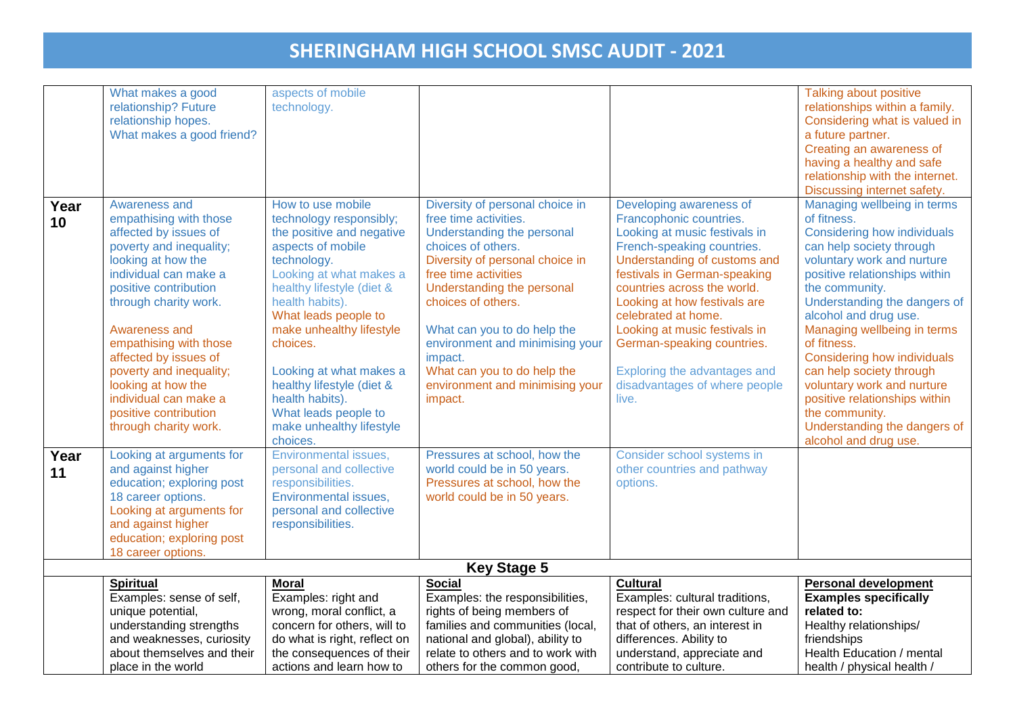|      | What makes a good          | aspects of mobile            |                                   |                                   | Talking about positive          |  |  |  |
|------|----------------------------|------------------------------|-----------------------------------|-----------------------------------|---------------------------------|--|--|--|
|      | relationship? Future       | technology.                  |                                   |                                   | relationships within a family.  |  |  |  |
|      | relationship hopes.        |                              |                                   |                                   | Considering what is valued in   |  |  |  |
|      | What makes a good friend?  |                              |                                   |                                   | a future partner.               |  |  |  |
|      |                            |                              |                                   |                                   | Creating an awareness of        |  |  |  |
|      |                            |                              |                                   |                                   | having a healthy and safe       |  |  |  |
|      |                            |                              |                                   |                                   | relationship with the internet. |  |  |  |
|      |                            |                              |                                   |                                   | Discussing internet safety.     |  |  |  |
| Year | Awareness and              | How to use mobile            | Diversity of personal choice in   | Developing awareness of           | Managing wellbeing in terms     |  |  |  |
| 10   | empathising with those     | technology responsibly;      | free time activities.             | Francophonic countries.           | of fitness.                     |  |  |  |
|      | affected by issues of      | the positive and negative    | Understanding the personal        | Looking at music festivals in     | Considering how individuals     |  |  |  |
|      | poverty and inequality;    | aspects of mobile            | choices of others.                | French-speaking countries.        | can help society through        |  |  |  |
|      | looking at how the         | technology.                  | Diversity of personal choice in   | Understanding of customs and      | voluntary work and nurture      |  |  |  |
|      | individual can make a      | Looking at what makes a      | free time activities              | festivals in German-speaking      | positive relationships within   |  |  |  |
|      | positive contribution      | healthy lifestyle (diet &    | Understanding the personal        | countries across the world.       | the community.                  |  |  |  |
|      | through charity work.      | health habits).              | choices of others.                | Looking at how festivals are      | Understanding the dangers of    |  |  |  |
|      |                            | What leads people to         |                                   | celebrated at home.               | alcohol and drug use.           |  |  |  |
|      | Awareness and              | make unhealthy lifestyle     | What can you to do help the       | Looking at music festivals in     | Managing wellbeing in terms     |  |  |  |
|      | empathising with those     | choices.                     | environment and minimising your   | German-speaking countries.        | of fitness.                     |  |  |  |
|      | affected by issues of      |                              | impact.                           |                                   | Considering how individuals     |  |  |  |
|      | poverty and inequality;    | Looking at what makes a      | What can you to do help the       | Exploring the advantages and      | can help society through        |  |  |  |
|      | looking at how the         | healthy lifestyle (diet &    | environment and minimising your   | disadvantages of where people     | voluntary work and nurture      |  |  |  |
|      | individual can make a      | health habits).              | impact.                           | live.                             | positive relationships within   |  |  |  |
|      | positive contribution      | What leads people to         |                                   |                                   | the community.                  |  |  |  |
|      | through charity work.      | make unhealthy lifestyle     |                                   |                                   | Understanding the dangers of    |  |  |  |
|      |                            | choices.                     |                                   |                                   | alcohol and drug use.           |  |  |  |
| Year | Looking at arguments for   | Environmental issues,        | Pressures at school, how the      | Consider school systems in        |                                 |  |  |  |
| 11   | and against higher         | personal and collective      | world could be in 50 years.       | other countries and pathway       |                                 |  |  |  |
|      | education; exploring post  | responsibilities.            | Pressures at school, how the      | options.                          |                                 |  |  |  |
|      | 18 career options.         | Environmental issues,        | world could be in 50 years.       |                                   |                                 |  |  |  |
|      | Looking at arguments for   | personal and collective      |                                   |                                   |                                 |  |  |  |
|      | and against higher         | responsibilities.            |                                   |                                   |                                 |  |  |  |
|      | education; exploring post  |                              |                                   |                                   |                                 |  |  |  |
|      | 18 career options.         |                              |                                   |                                   |                                 |  |  |  |
|      | <b>Key Stage 5</b>         |                              |                                   |                                   |                                 |  |  |  |
|      | <b>Spiritual</b>           | Moral                        | <b>Social</b>                     | <b>Cultural</b>                   | <b>Personal development</b>     |  |  |  |
|      | Examples: sense of self,   | Examples: right and          | Examples: the responsibilities,   | Examples: cultural traditions,    | <b>Examples specifically</b>    |  |  |  |
|      | unique potential,          | wrong, moral conflict, a     | rights of being members of        | respect for their own culture and | related to:                     |  |  |  |
|      | understanding strengths    | concern for others, will to  | families and communities (local,  | that of others, an interest in    | Healthy relationships/          |  |  |  |
|      | and weaknesses, curiosity  | do what is right, reflect on | national and global), ability to  | differences. Ability to           | friendships                     |  |  |  |
|      | about themselves and their | the consequences of their    | relate to others and to work with | understand, appreciate and        | Health Education / mental       |  |  |  |
|      | place in the world         | actions and learn how to     | others for the common good,       | contribute to culture.            | health / physical health /      |  |  |  |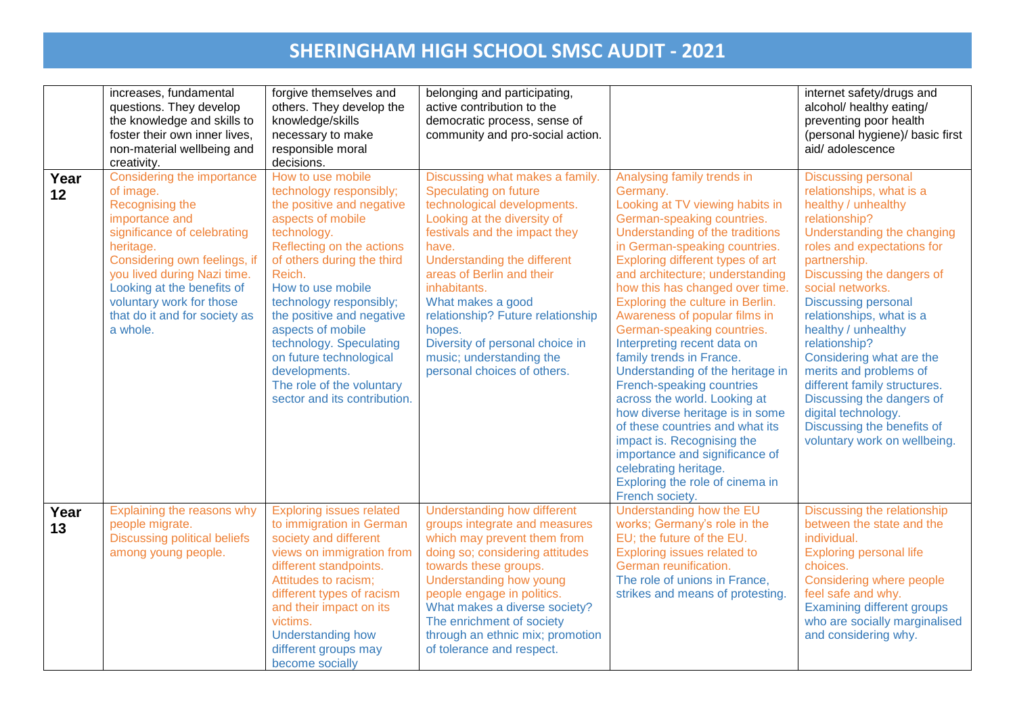|            | increases, fundamental<br>questions. They develop<br>the knowledge and skills to<br>foster their own inner lives,<br>non-material wellbeing and<br>creativity.                                                                                                                                 | forgive themselves and<br>others. They develop the<br>knowledge/skills<br>necessary to make<br>responsible moral<br>decisions.                                                                                                                                                                                                                                                                                           | belonging and participating,<br>active contribution to the<br>democratic process, sense of<br>community and pro-social action.                                                                                                                                                                                                                                                                                 |                                                                                                                                                                                                                                                                                                                                                                                                                                                                                                                                                                                                                                                                                                                                                                                  | internet safety/drugs and<br>alcohol/ healthy eating/<br>preventing poor health<br>(personal hygiene)/ basic first<br>aid/adolescence                                                                                                                                                                                                                                                                                                                                                                                                 |
|------------|------------------------------------------------------------------------------------------------------------------------------------------------------------------------------------------------------------------------------------------------------------------------------------------------|--------------------------------------------------------------------------------------------------------------------------------------------------------------------------------------------------------------------------------------------------------------------------------------------------------------------------------------------------------------------------------------------------------------------------|----------------------------------------------------------------------------------------------------------------------------------------------------------------------------------------------------------------------------------------------------------------------------------------------------------------------------------------------------------------------------------------------------------------|----------------------------------------------------------------------------------------------------------------------------------------------------------------------------------------------------------------------------------------------------------------------------------------------------------------------------------------------------------------------------------------------------------------------------------------------------------------------------------------------------------------------------------------------------------------------------------------------------------------------------------------------------------------------------------------------------------------------------------------------------------------------------------|---------------------------------------------------------------------------------------------------------------------------------------------------------------------------------------------------------------------------------------------------------------------------------------------------------------------------------------------------------------------------------------------------------------------------------------------------------------------------------------------------------------------------------------|
| Year<br>12 | Considering the importance<br>of image.<br>Recognising the<br>importance and<br>significance of celebrating<br>heritage.<br>Considering own feelings, if<br>you lived during Nazi time.<br>Looking at the benefits of<br>voluntary work for those<br>that do it and for society as<br>a whole. | How to use mobile<br>technology responsibly;<br>the positive and negative<br>aspects of mobile<br>technology.<br>Reflecting on the actions<br>of others during the third<br>Reich.<br>How to use mobile<br>technology responsibly;<br>the positive and negative<br>aspects of mobile<br>technology. Speculating<br>on future technological<br>developments.<br>The role of the voluntary<br>sector and its contribution. | Discussing what makes a family.<br>Speculating on future<br>technological developments.<br>Looking at the diversity of<br>festivals and the impact they<br>have.<br>Understanding the different<br>areas of Berlin and their<br>inhabitants.<br>What makes a good<br>relationship? Future relationship<br>hopes.<br>Diversity of personal choice in<br>music; understanding the<br>personal choices of others. | Analysing family trends in<br>Germany.<br>Looking at TV viewing habits in<br>German-speaking countries.<br>Understanding of the traditions<br>in German-speaking countries.<br>Exploring different types of art<br>and architecture; understanding<br>how this has changed over time.<br>Exploring the culture in Berlin.<br>Awareness of popular films in<br>German-speaking countries.<br>Interpreting recent data on<br>family trends in France.<br>Understanding of the heritage in<br><b>French-speaking countries</b><br>across the world. Looking at<br>how diverse heritage is in some<br>of these countries and what its<br>impact is. Recognising the<br>importance and significance of<br>celebrating heritage.<br>Exploring the role of cinema in<br>French society. | <b>Discussing personal</b><br>relationships, what is a<br>healthy / unhealthy<br>relationship?<br>Understanding the changing<br>roles and expectations for<br>partnership.<br>Discussing the dangers of<br>social networks.<br><b>Discussing personal</b><br>relationships, what is a<br>healthy / unhealthy<br>relationship?<br>Considering what are the<br>merits and problems of<br>different family structures.<br>Discussing the dangers of<br>digital technology.<br>Discussing the benefits of<br>voluntary work on wellbeing. |
| Year<br>13 | Explaining the reasons why<br>people migrate.<br><b>Discussing political beliefs</b><br>among young people.                                                                                                                                                                                    | <b>Exploring issues related</b><br>to immigration in German<br>society and different<br>views on immigration from<br>different standpoints.<br>Attitudes to racism;<br>different types of racism<br>and their impact on its<br>victims.<br><b>Understanding how</b><br>different groups may<br>become socially                                                                                                           | <b>Understanding how different</b><br>groups integrate and measures<br>which may prevent them from<br>doing so; considering attitudes<br>towards these groups.<br>Understanding how young<br>people engage in politics.<br>What makes a diverse society?<br>The enrichment of society<br>through an ethnic mix; promotion<br>of tolerance and respect.                                                         | Understanding how the EU<br>works; Germany's role in the<br>EU; the future of the EU.<br>Exploring issues related to<br>German reunification.<br>The role of unions in France,<br>strikes and means of protesting.                                                                                                                                                                                                                                                                                                                                                                                                                                                                                                                                                               | Discussing the relationship<br>between the state and the<br>individual.<br><b>Exploring personal life</b><br>choices.<br>Considering where people<br>feel safe and why.<br><b>Examining different groups</b><br>who are socially marginalised<br>and considering why.                                                                                                                                                                                                                                                                 |